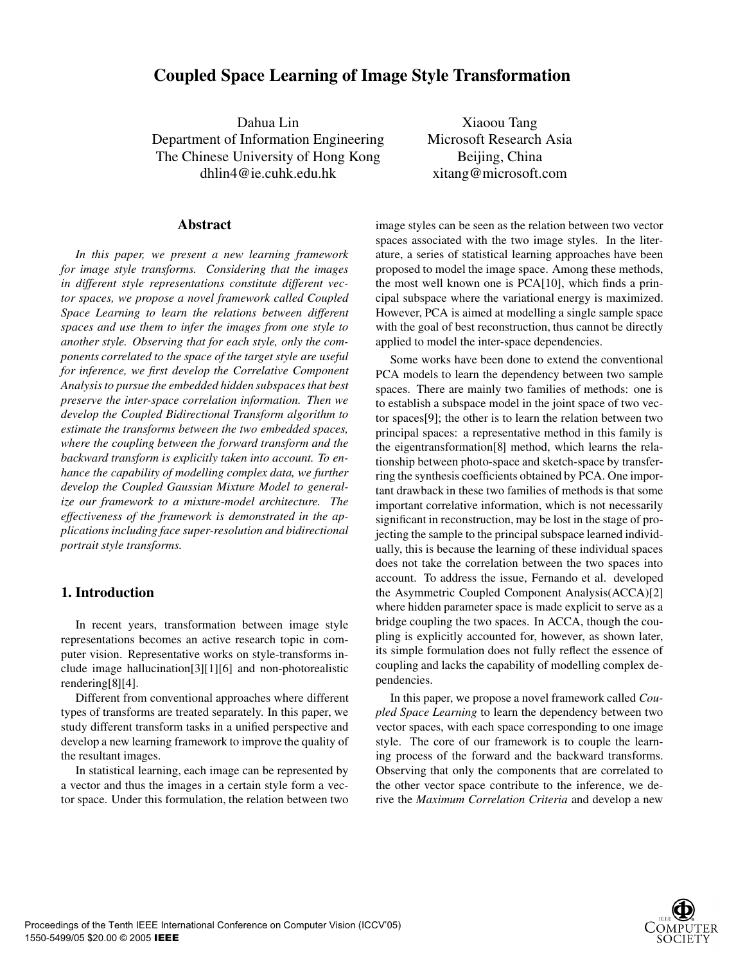# **Coupled Space Learning of Image Style Transformation**

Dahua Lin Department of Information Engineering The Chinese University of Hong Kong dhlin4@ie.cuhk.edu.hk

**Abstract**

*In this paper, we present a new learning framework for image style transforms. Considering that the images in different style representations constitute different vector spaces, we propose a novel framework called Coupled Space Learning to learn the relations between different spaces and use them to infer the images from one style to another style. Observing that for each style, only the components correlated to the space of the target style are useful for inference, we first develop the Correlative Component Analysis to pursue the embedded hidden subspaces that best preserve the inter-space correlation information. Then we develop the Coupled Bidirectional Transform algorithm to estimate the transforms between the two embedded spaces, where the coupling between the forward transform and the backward transform is explicitly taken into account. To enhance the capability of modelling complex data, we further develop the Coupled Gaussian Mixture Model to generalize our framework to a mixture-model architecture. The effectiveness of the framework is demonstrated in the applications including face super-resolution and bidirectional portrait style transforms.*

# **1. Introduction**

In recent years, transformation between image style representations becomes an active research topic in computer vision. Representative works on style-transforms include image hallucination[3][1][6] and non-photorealistic rendering[8][4].

Different from conventional approaches where different types of transforms are treated separately. In this paper, we study different transform tasks in a unified perspective and develop a new learning framework to improve the quality of the resultant images.

In statistical learning, each image can be represented by a vector and thus the images in a certain style form a vector space. Under this formulation, the relation between two

Xiaoou Tang Microsoft Research Asia Beijing, China xitang@microsoft.com

image styles can be seen as the relation between two vector spaces associated with the two image styles. In the literature, a series of statistical learning approaches have been proposed to model the image space. Among these methods, the most well known one is PCA[10], which finds a principal subspace where the variational energy is maximized. However, PCA is aimed at modelling a single sample space with the goal of best reconstruction, thus cannot be directly applied to model the inter-space dependencies.

Some works have been done to extend the conventional PCA models to learn the dependency between two sample spaces. There are mainly two families of methods: one is to establish a subspace model in the joint space of two vector spaces[9]; the other is to learn the relation between two principal spaces: a representative method in this family is the eigentransformation[8] method, which learns the relationship between photo-space and sketch-space by transferring the synthesis coefficients obtained by PCA. One important drawback in these two families of methods is that some important correlative information, which is not necessarily significant in reconstruction, may be lost in the stage of projecting the sample to the principal subspace learned individually, this is because the learning of these individual spaces does not take the correlation between the two spaces into account. To address the issue, Fernando et al. developed the Asymmetric Coupled Component Analysis(ACCA)[2] where hidden parameter space is made explicit to serve as a bridge coupling the two spaces. In ACCA, though the coupling is explicitly accounted for, however, as shown later, its simple formulation does not fully reflect the essence of coupling and lacks the capability of modelling complex dependencies.

In this paper, we propose a novel framework called *Coupled Space Learning* to learn the dependency between two vector spaces, with each space corresponding to one image style. The core of our framework is to couple the learning process of the forward and the backward transforms. Observing that only the components that are correlated to the other vector space contribute to the inference, we derive the *Maximum Correlation Criteria* and develop a new

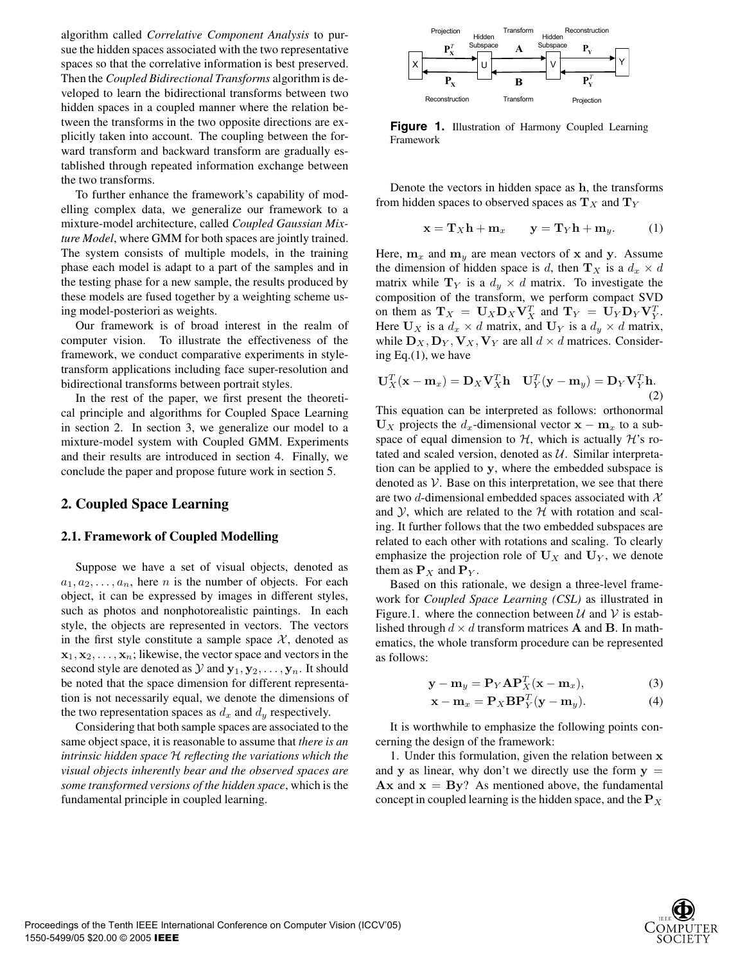algorithm called *Correlative Component Analysis* to pursue the hidden spaces associated with the two representative spaces so that the correlative information is best preserved. Then the *Coupled Bidirectional Transforms* algorithm is developed to learn the bidirectional transforms between two hidden spaces in a coupled manner where the relation between the transforms in the two opposite directions are explicitly taken into account. The coupling between the forward transform and backward transform are gradually established through repeated information exchange between the two transforms.

To further enhance the framework's capability of modelling complex data, we generalize our framework to a mixture-model architecture, called *Coupled Gaussian Mixture Model*, where GMM for both spaces are jointly trained. The system consists of multiple models, in the training phase each model is adapt to a part of the samples and in the testing phase for a new sample, the results produced by these models are fused together by a weighting scheme using model-posteriori as weights.

Our framework is of broad interest in the realm of computer vision. To illustrate the effectiveness of the framework, we conduct comparative experiments in styletransform applications including face super-resolution and bidirectional transforms between portrait styles.

In the rest of the paper, we first present the theoretical principle and algorithms for Coupled Space Learning in section 2. In section 3, we generalize our model to a mixture-model system with Coupled GMM. Experiments and their results are introduced in section 4. Finally, we conclude the paper and propose future work in section 5.

# **2. Coupled Space Learning**

#### **2.1. Framework of Coupled Modelling**

Suppose we have a set of visual objects, denoted as  $a_1, a_2, \ldots, a_n$ , here *n* is the number of objects. For each object, it can be expressed by images in different styles, such as photos and nonphotorealistic paintings. In each style, the objects are represented in vectors. The vectors in the first style constitute a sample space  $X$ , denoted as  $x_1, x_2, \ldots, x_n$ ; likewise, the vector space and vectors in the second style are denoted as  $\mathcal{Y}$  and  $\mathbf{y}_1, \mathbf{y}_2, \ldots, \mathbf{y}_n$ . It should be noted that the space dimension for different representation is not necessarily equal, we denote the dimensions of the two representation spaces as  $d_x$  and  $d_y$  respectively.

Considering that both sample spaces are associated to the same object space, it is reasonable to assume that *there is an intrinsic hidden space* H *reflecting the variations which the visual objects inherently bear and the observed spaces are some transformed versions of the hidden space*, which is the fundamental principle in coupled learning.



Figure 1. Illustration of Harmony Coupled Learning Framework

Denote the vectors in hidden space as **h**, the transforms from hidden spaces to observed spaces as  $T_X$  and  $T_Y$ 

$$
\mathbf{x} = \mathbf{T}_X \mathbf{h} + \mathbf{m}_x \qquad \mathbf{y} = \mathbf{T}_Y \mathbf{h} + \mathbf{m}_y. \tag{1}
$$

Here,  $\mathbf{m}_x$  and  $\mathbf{m}_y$  are mean vectors of **x** and **y**. Assume the dimension of hidden space is d, then  $\mathbf{T}_X$  is a  $d_x \times d$ matrix while  $T_Y$  is a  $d_y \times d$  matrix. To investigate the composition of the transform, we perform compact SVD on them as  $\mathbf{T}_X = \mathbf{U}_X \mathbf{D}_X \mathbf{V}_X^T$  and  $\mathbf{T}_Y = \mathbf{U}_Y \mathbf{D}_Y \mathbf{V}_Y^T$ .<br>Here  $\mathbf{U}_Y$  is a  $d \times d$  matrix and  $\mathbf{U}_Y$  is a  $d \times d$  matrix Here  $U_X$  is a  $d_x \times d$  matrix, and  $U_Y$  is a  $d_y \times d$  matrix, while  $\mathbf{D}_X, \mathbf{D}_Y, \mathbf{V}_X, \mathbf{V}_Y$  are all  $d \times d$  matrices. Considering Eq.(1), we have

$$
\mathbf{U}_X^T(\mathbf{x} - \mathbf{m}_x) = \mathbf{D}_X \mathbf{V}_X^T \mathbf{h} \quad \mathbf{U}_Y^T(\mathbf{y} - \mathbf{m}_y) = \mathbf{D}_Y \mathbf{V}_Y^T \mathbf{h}.
$$
\n(2)

This equation can be interpreted as follows: orthonormal  **projects the**  $d_x$ **-dimensional vector**  $**x** - **m**<sub>x</sub>$  **to a sub**space of equal dimension to  $H$ , which is actually  $H$ 's rotated and scaled version, denoted as  $U$ . Similar interpretation can be applied to **y**, where the embedded subspace is denoted as  $V$ . Base on this interpretation, we see that there are two d-dimensional embedded spaces associated with  $X$ and  $\mathcal{Y}$ , which are related to the  $\mathcal{H}$  with rotation and scaling. It further follows that the two embedded subspaces are related to each other with rotations and scaling. To clearly emphasize the projection role of  $U_X$  and  $U_Y$ , we denote them as  $P_X$  and  $P_Y$ .

Based on this rationale, we design a three-level framework for *Coupled Space Learning (CSL)* as illustrated in Figure.1. where the connection between  $U$  and  $V$  is established through  $d \times d$  transform matrices **A** and **B**. In mathematics, the whole transform procedure can be represented as follows:

$$
\mathbf{y} - \mathbf{m}_y = \mathbf{P}_Y \mathbf{A} \mathbf{P}_X^T (\mathbf{x} - \mathbf{m}_x),
$$
(3)

$$
\mathbf{x} - \mathbf{m}_x = \mathbf{P}_X \mathbf{B} \mathbf{P}_Y^T (\mathbf{y} - \mathbf{m}_y).
$$
 (4)

It is worthwhile to emphasize the following points concerning the design of the framework:

1. Under this formulation, given the relation between **x** and **y** as linear, why don't we directly use the form  $y =$  $\bf{A} \times \bf{x}$  and  $\bf{x} = \bf{B} \times \bf{y}$ ? As mentioned above, the fundamental concept in coupled learning is the hidden space, and the  $P_X$ 

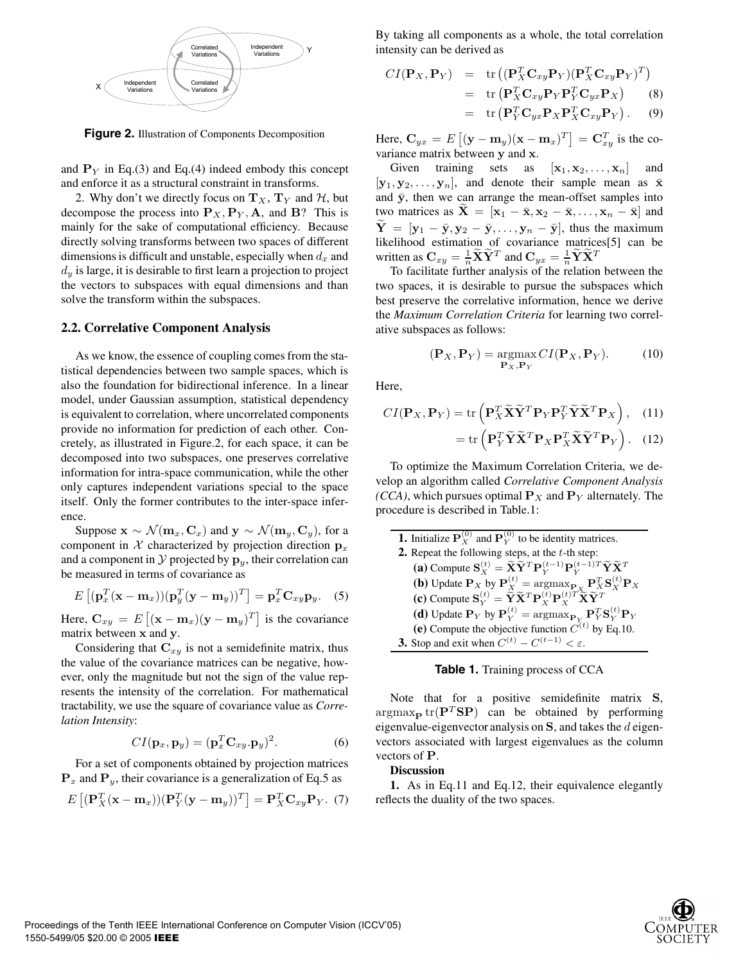

**Figure 2.** Illustration of Components Decomposition

and  $P<sub>Y</sub>$  in Eq.(3) and Eq.(4) indeed embody this concept and enforce it as a structural constraint in transforms.

2. Why don't we directly focus on  $T_X$ ,  $T_Y$  and  $H$ , but decompose the process into  $P_X, P_Y, A$ , and **B**? This is mainly for the sake of computational efficiency. Because directly solving transforms between two spaces of different dimensions is difficult and unstable, especially when  $d_x$  and  $d<sub>y</sub>$  is large, it is desirable to first learn a projection to project the vectors to subspaces with equal dimensions and than solve the transform within the subspaces.

#### **2.2. Correlative Component Analysis**

As we know, the essence of coupling comes from the statistical dependencies between two sample spaces, which is also the foundation for bidirectional inference. In a linear model, under Gaussian assumption, statistical dependency is equivalent to correlation, where uncorrelated components provide no information for prediction of each other. Concretely, as illustrated in Figure.2, for each space, it can be decomposed into two subspaces, one preserves correlative information for intra-space communication, while the other only captures independent variations special to the space itself. Only the former contributes to the inter-space inference.

Suppose  $\mathbf{x} \sim \mathcal{N}(\mathbf{m}_x, \mathbf{C}_x)$  and  $\mathbf{y} \sim \mathcal{N}(\mathbf{m}_y, \mathbf{C}_y)$ , for a component in X characterized by projection direction  $p_x$ and a component in  $\mathcal Y$  projected by  $\mathbf p_y$ , their correlation can be measured in terms of covariance as

$$
E\left[ (\mathbf{p}_x^T(\mathbf{x} - \mathbf{m}_x))(\mathbf{p}_y^T(\mathbf{y} - \mathbf{m}_y))^T \right] = \mathbf{p}_x^T \mathbf{C}_{xy} \mathbf{p}_y.
$$
 (5)

Here,  $\mathbf{C}_{xy} = E[(\mathbf{x} - \mathbf{m}_x)(\mathbf{y} - \mathbf{m}_y)^T]$  is the covariance matrix between **x** and **y** matrix between **x** and **y**.

Considering that  $C_{xy}$  is not a semidefinite matrix, thus the value of the covariance matrices can be negative, however, only the magnitude but not the sign of the value represents the intensity of the correlation. For mathematical tractability, we use the square of covariance value as *Correlation Intensity*:

$$
CI(\mathbf{p}_x, \mathbf{p}_y) = (\mathbf{p}_x^T \mathbf{C}_{xy} \cdot \mathbf{p}_y)^2.
$$
 (6)

For a set of components obtained by projection matrices  $\mathbf{P}_x$  and  $\mathbf{P}_y$ , their covariance is a generalization of Eq.5 as

$$
E\left[ (\mathbf{P}_X^T(\mathbf{x} - \mathbf{m}_x))(\mathbf{P}_Y^T(\mathbf{y} - \mathbf{m}_y))^T \right] = \mathbf{P}_X^T \mathbf{C}_{xy} \mathbf{P}_Y. (7)
$$

By taking all components as a whole, the total correlation intensity can be derived as

$$
CI(\mathbf{P}_X, \mathbf{P}_Y) = \text{tr} \left( (\mathbf{P}_X^T \mathbf{C}_{xy} \mathbf{P}_Y)(\mathbf{P}_X^T \mathbf{C}_{xy} \mathbf{P}_Y)^T \right)
$$
  
= tr \left( \mathbf{P}\_X^T \mathbf{C}\_{xy} \mathbf{P}\_Y \mathbf{P}\_Y^T \mathbf{C}\_{yx} \mathbf{P}\_X \right) (8)  
= tr \left( \mathbf{P}\_Y^T \mathbf{C}\_{yx} \mathbf{P}\_X \mathbf{P}\_X^T \mathbf{C}\_{xy} \mathbf{P}\_Y \right). (9)

Here,  $\mathbf{C}_{yx} = E[(\mathbf{y} - \mathbf{m}_y)(\mathbf{x} - \mathbf{m}_x)^T] = \mathbf{C}_{xy}^T$  is the co-<br>variance matrix between y and x variance matrix between **y** and **x**.

Given training sets as  $[\mathbf{x}_1, \mathbf{x}_2, ..., \mathbf{x}_n]$  and  $[\mathbf{y}_1, \mathbf{y}_2, \dots, \mathbf{y}_n]$ , and denote their sample mean as  $\bar{\mathbf{x}}$ <br>and  $\bar{\mathbf{y}}$  then we can arrange the mean-offset samples into and  $\bar{y}$ , then we can arrange the mean-offset samples into two matrices as  $\mathbf{X} = [\mathbf{x}_1 - \bar{\mathbf{x}}, \mathbf{x}_2 - \bar{\mathbf{x}}, \dots, \mathbf{x}_n - \bar{\mathbf{x}}]$  and  $\widetilde{\mathbf{Y}} = [\mathbf{y}_1 - \bar{\mathbf{y}}, \mathbf{y}_2 - \bar{\mathbf{y}}, \dots, \mathbf{y}_n - \bar{\mathbf{y}}]$ , thus the maximum likelihood estimation of covariance matrices[5] can be written as  $C_{xy} = \frac{1}{n}\tilde{\mathbf{X}}\tilde{\mathbf{Y}}^T$  and  $C_{yx} = \frac{1}{n}\tilde{\mathbf{Y}}\tilde{\mathbf{X}}^T$ <br>To facilitate further analysis of the relation

To facilitate further analysis of the relation between the two spaces, it is desirable to pursue the subspaces which best preserve the correlative information, hence we derive the *Maximum Correlation Criteria* for learning two correlative subspaces as follows:

$$
(\mathbf{P}_X, \mathbf{P}_Y) = \underset{\mathbf{P}_X, \mathbf{P}_Y}{\text{argmax}} CI(\mathbf{P}_X, \mathbf{P}_Y). \tag{10}
$$

Here,

$$
CI(\mathbf{P}_X, \mathbf{P}_Y) = \text{tr}\left(\mathbf{P}_X^T \widetilde{\mathbf{X}} \widetilde{\mathbf{Y}}^T \mathbf{P}_Y \mathbf{P}_Y^T \widetilde{\mathbf{Y}} \widetilde{\mathbf{X}}^T \mathbf{P}_X\right), \quad (11)
$$

$$
= \text{tr}\left(\mathbf{P}_Y^T \widetilde{\mathbf{Y}} \widetilde{\mathbf{X}}^T \mathbf{P}_X \mathbf{P}_X^T \widetilde{\mathbf{X}} \widetilde{\mathbf{Y}}^T \mathbf{P}_Y\right). \quad (12)
$$

To optimize the Maximum Correlation Criteria, we develop an algorithm called *Correlative Component Analysis (CCA)*, which pursues optimal  $P_X$  and  $P_Y$  alternately. The procedure is described in Table.1:

| <b>1.</b> Initialize $P_X^{(0)}$ and $P_Y^{(0)}$ to be identity matrices.                                                                                                                                      |  |  |  |
|----------------------------------------------------------------------------------------------------------------------------------------------------------------------------------------------------------------|--|--|--|
| 2. Repeat the following steps, at the $t$ -th step:                                                                                                                                                            |  |  |  |
| (a) Compute $\mathbf{S}_{\mathbf{Y}}^{(t)} = \widetilde{\mathbf{X}} \widetilde{\mathbf{Y}}^T \mathbf{P}_{\mathbf{Y}}^{(t-1)} \mathbf{P}_{\mathbf{Y}}^{(t-1)T} \widetilde{\mathbf{Y}} \widetilde{\mathbf{X}}^T$ |  |  |  |
| ( <b>b</b> ) Update $\mathbf{P}_X$ by $\mathbf{P}_X^{(t)} = \arg \max_{\mathbf{P}_X} \mathbf{P}_X^T \mathbf{S}_X^{(t)} \mathbf{P}_X$                                                                           |  |  |  |
| (c) Compute $\mathbf{S}_{Y}^{(t)} = \widetilde{\mathbf{Y}} \widetilde{\mathbf{X}}^{T} \mathbf{P}_{Y}^{(t)} \mathbf{P}_{Y}^{(t)T} \widetilde{\mathbf{X}} \widetilde{\mathbf{Y}}^{T}$                            |  |  |  |
| (d) Update $P_Y$ by $P_Y^{(t)} = \arg\max_{P_Y} P_Y^T S_Y^{(t)} P_Y$                                                                                                                                           |  |  |  |
| (e) Compute the objective function $\hat{C}^{(t)}$ by Eq.10.                                                                                                                                                   |  |  |  |
| <b>3.</b> Stop and exit when $C^{(t)} - C^{(t-1)} < \varepsilon$ .                                                                                                                                             |  |  |  |



Note that for a positive semidefinite matrix **S**,  $\arg\max_{\mathbf{P}} \text{tr}(\mathbf{P}^T \mathbf{S} \mathbf{P})$  can be obtained by performing eigenvalue-eigenvector analysis on **S**, and takes the d eigenvectors associated with largest eigenvalues as the column vectors of **P**.

#### **Discussion**

**1.** As in Eq.11 and Eq.12, their equivalence elegantly reflects the duality of the two spaces.

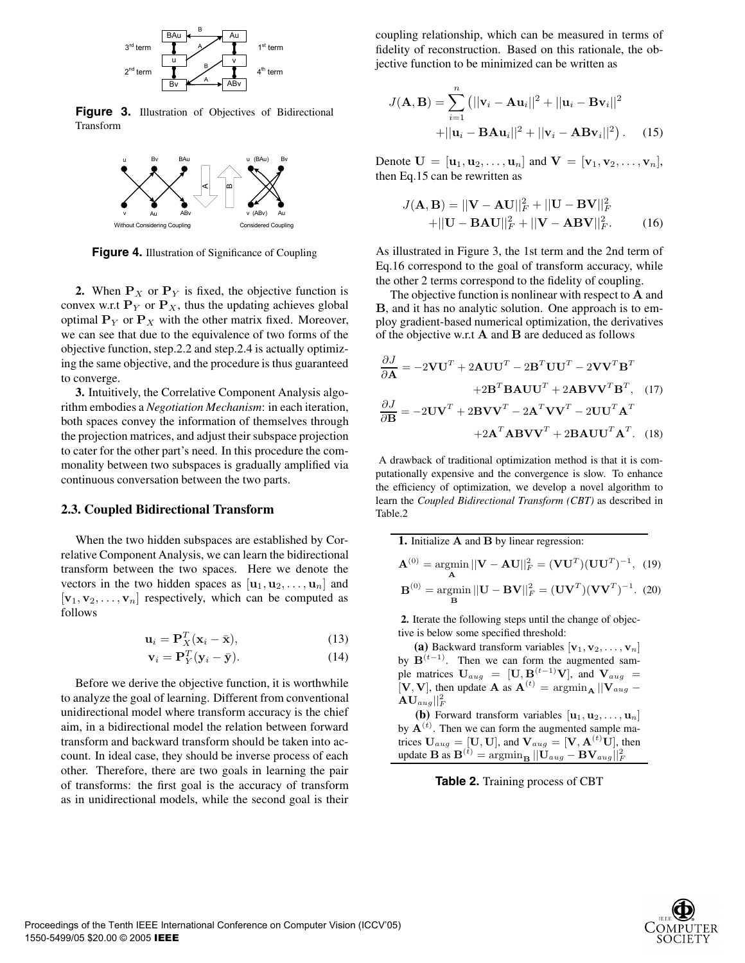

**Figure 3.** Illustration of Objectives of Bidirectional Transform



**Figure 4.** Illustration of Significance of Coupling

**2.** When  $P_X$  or  $P_Y$  is fixed, the objective function is convex w.r.t  $P_Y$  or  $P_X$ , thus the updating achieves global optimal  $P_Y$  or  $P_X$  with the other matrix fixed. Moreover, we can see that due to the equivalence of two forms of the objective function, step.2.2 and step.2.4 is actually optimizing the same objective, and the procedure is thus guaranteed to converge.

**3.** Intuitively, the Correlative Component Analysis algorithm embodies a *Negotiation Mechanism*: in each iteration, both spaces convey the information of themselves through the projection matrices, and adjust their subspace projection to cater for the other part's need. In this procedure the commonality between two subspaces is gradually amplified via continuous conversation between the two parts.

#### **2.3. Coupled Bidirectional Transform**

When the two hidden subspaces are established by Correlative Component Analysis, we can learn the bidirectional transform between the two spaces. Here we denote the vectors in the two hidden spaces as  $[\mathbf{u}_1, \mathbf{u}_2, \dots, \mathbf{u}_n]$  and  $[\mathbf{v}_1, \mathbf{v}_2, \dots, \mathbf{v}_n]$  respectively, which can be computed as follows

$$
\mathbf{u}_i = \mathbf{P}_X^T (\mathbf{x}_i - \bar{\mathbf{x}}),
$$
(13)

$$
\mathbf{v}_i = \mathbf{P}_Y^T (\mathbf{y}_i - \bar{\mathbf{y}}).
$$
 (14)

Before we derive the objective function, it is worthwhile to analyze the goal of learning. Different from conventional unidirectional model where transform accuracy is the chief aim, in a bidirectional model the relation between forward transform and backward transform should be taken into account. In ideal case, they should be inverse process of each other. Therefore, there are two goals in learning the pair of transforms: the first goal is the accuracy of transform as in unidirectional models, while the second goal is their

coupling relationship, which can be measured in terms of fidelity of reconstruction. Based on this rationale, the objective function to be minimized can be written as

$$
J(\mathbf{A}, \mathbf{B}) = \sum_{i=1}^{n} (||\mathbf{v}_i - \mathbf{A}\mathbf{u}_i||^2 + ||\mathbf{u}_i - \mathbf{B}\mathbf{v}_i||^2
$$
  
+|| $\mathbf{u}_i - \mathbf{B}\mathbf{A}\mathbf{u}_i||^2 + ||\mathbf{v}_i - \mathbf{A}\mathbf{B}\mathbf{v}_i||^2). (15)$ 

Denote  $U = [\mathbf{u}_1, \mathbf{u}_2, ..., \mathbf{u}_n]$  and  $V = [\mathbf{v}_1, \mathbf{v}_2, ..., \mathbf{v}_n]$ , then Eq.15 can be rewritten as

$$
J(\mathbf{A}, \mathbf{B}) = ||\mathbf{V} - \mathbf{A}\mathbf{U}||_F^2 + ||\mathbf{U} - \mathbf{B}\mathbf{V}||_F^2 + ||\mathbf{U} - \mathbf{B}\mathbf{A}\mathbf{U}||_F^2 + ||\mathbf{V} - \mathbf{A}\mathbf{B}\mathbf{V}||_F^2.
$$
 (16)

As illustrated in Figure 3, the 1st term and the 2nd term of Eq.16 correspond to the goal of transform accuracy, while the other 2 terms correspond to the fidelity of coupling.

The objective function is nonlinear with respect to **A** and **B**, and it has no analytic solution. One approach is to employ gradient-based numerical optimization, the derivatives of the objective w.r.t **A** and **B** are deduced as follows

$$
\frac{\partial J}{\partial \mathbf{A}} = -2\mathbf{V}\mathbf{U}^T + 2\mathbf{A}\mathbf{U}\mathbf{U}^T - 2\mathbf{B}^T\mathbf{U}\mathbf{U}^T - 2\mathbf{V}\mathbf{V}^T\mathbf{B}^T
$$

$$
+2\mathbf{B}^T\mathbf{B}\mathbf{A}\mathbf{U}\mathbf{U}^T + 2\mathbf{A}\mathbf{B}\mathbf{V}\mathbf{V}^T\mathbf{B}^T, (17)
$$

$$
\frac{\partial J}{\partial \mathbf{B}} = -2\mathbf{U}\mathbf{V}^T + 2\mathbf{B}\mathbf{V}\mathbf{V}^T - 2\mathbf{A}^T\mathbf{V}\mathbf{V}^T - 2\mathbf{U}\mathbf{U}^T\mathbf{A}^T
$$

$$
+2\mathbf{A}^T\mathbf{A}\mathbf{B}\mathbf{V}\mathbf{V}^T + 2\mathbf{B}\mathbf{A}\mathbf{U}\mathbf{U}^T\mathbf{A}^T. (18)
$$

A drawback of traditional optimization method is that it is computationally expensive and the convergence is slow. To enhance the efficiency of optimization, we develop a novel algorithm to learn the *Coupled Bidirectional Transform (CBT)* as described in Table.2

**1.** Initialize **A** and **B** by linear regression:

$$
\mathbf{A}^{(0)} = \underset{\mathbf{A}}{\operatorname{argmin}} \, ||\mathbf{V} - \mathbf{A}\mathbf{U}||_F^2 = (\mathbf{V}\mathbf{U}^T)(\mathbf{U}\mathbf{U}^T)^{-1}, \tag{19}
$$

$$
\mathbf{B}^{(0)} = \underset{\mathbf{B}}{\operatorname{argmin}} \, ||\mathbf{U} - \mathbf{B}\mathbf{V}||_F^2 = (\mathbf{U}\mathbf{V}^T)(\mathbf{V}\mathbf{V}^T)^{-1}. \tag{20}
$$

**2.** Iterate the following steps until the change of objective is below some specified threshold:

(a) Backward transform variables  $[\mathbf{v}_1, \mathbf{v}_2, \dots, \mathbf{v}_n]$ by  $\mathbf{B}^{(t-1)}$ . Then we can form the augmented sample matrices  $U_{aug} = [U, B^{(t-1)}V]$ , and  $V_{aug} = [V, V]$  then undate  $\Lambda$  as  $\Lambda^{(t)} = \text{arcmin}$   $||V| =$  $[\mathbf{V}, \mathbf{V}]$ , then update **A** as  $\mathbf{A}^{(t)} = \operatorname{argmin}_{\mathbf{A}} ||\mathbf{V}_{aug} - \mathbf{A}\mathbf{I}$  $\mathbf{A}\mathbf{U}_{aug}||^2_F$ 

**(b)** Forward transform variables  $[\mathbf{u}_1, \mathbf{u}_2, \dots, \mathbf{u}_n]$ <br> $\mathbf{A}^{(t)}$  Then we can form the augmented sample maby  $A^{(t)}$ . Then we can form the augmented sample matrices  $U_{aug} = [\mathbf{U}, \mathbf{U}]$ , and  $\mathbf{V}_{aug} = [\mathbf{V}, \mathbf{A}^{(t)} \mathbf{U}]$ , then **update <b>B** as  $\mathbf{B}^{(t)} = \arg\min_{\mathbf{B}} ||\mathbf{U}_{aug} - \mathbf{BV}_{aug}||_F^2$ F

**Table 2.** Training process of CBT

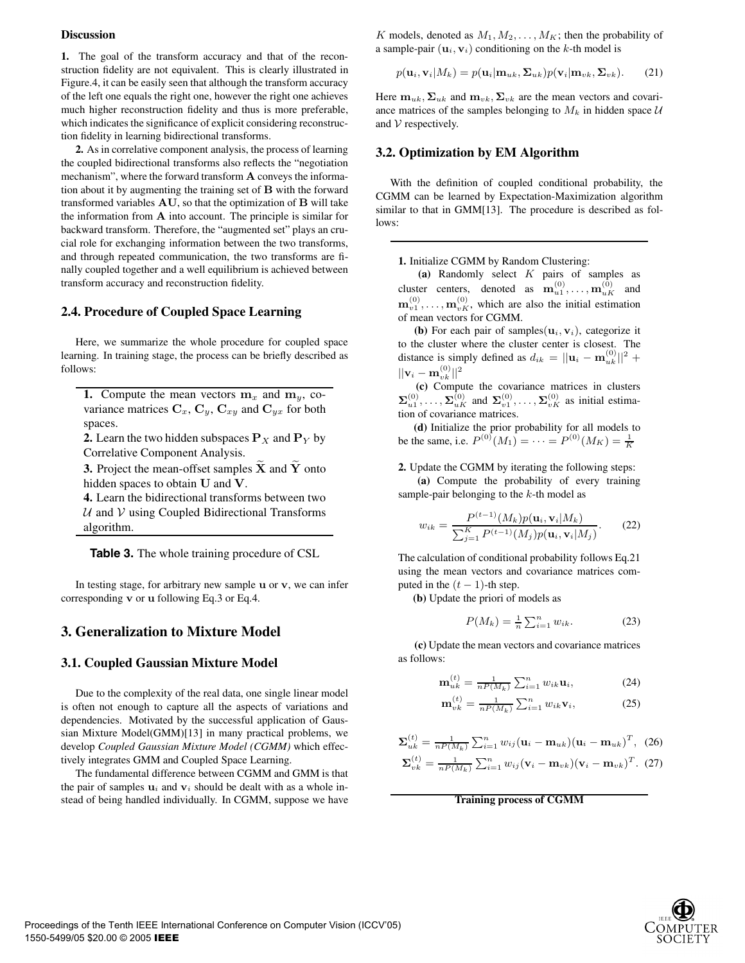#### **Discussion**

**1.** The goal of the transform accuracy and that of the reconstruction fidelity are not equivalent. This is clearly illustrated in Figure.4, it can be easily seen that although the transform accuracy of the left one equals the right one, however the right one achieves much higher reconstruction fidelity and thus is more preferable, which indicates the significance of explicit considering reconstruction fidelity in learning bidirectional transforms.

**2.** As in correlative component analysis, the process of learning the coupled bidirectional transforms also reflects the "negotiation mechanism", where the forward transform **A** conveys the information about it by augmenting the training set of **B** with the forward transformed variables **AU**, so that the optimization of **B** will take the information from **A** into account. The principle is similar for backward transform. Therefore, the "augmented set" plays an crucial role for exchanging information between the two transforms, and through repeated communication, the two transforms are finally coupled together and a well equilibrium is achieved between transform accuracy and reconstruction fidelity.

#### **2.4. Procedure of Coupled Space Learning**

Here, we summarize the whole procedure for coupled space learning. In training stage, the process can be briefly described as follows:

**1.** Compute the mean vectors  $\mathbf{m}_x$  and  $\mathbf{m}_y$ , covariance matrices  $C_x$ ,  $C_y$ ,  $C_{xy}$  and  $C_{yx}$  for both spaces.

**2.** Learn the two hidden subspaces  $P_X$  and  $P_Y$  by Correlative Component Analysis.

**3.** Project the mean-offset samples  $\widetilde{\mathbf{X}}$  and  $\widetilde{\mathbf{Y}}$  onto hidden spaces to obtain **U** and **V**.

**4.** Learn the bidirectional transforms between two  $U$  and  $V$  using Coupled Bidirectional Transforms algorithm.

**Table 3.** The whole training procedure of CSL

In testing stage, for arbitrary new sample **u** or **v**, we can infer corresponding **v** or **u** following Eq.3 or Eq.4.

### **3. Generalization to Mixture Model**

#### **3.1. Coupled Gaussian Mixture Model**

Due to the complexity of the real data, one single linear model is often not enough to capture all the aspects of variations and dependencies. Motivated by the successful application of Gaussian Mixture Model(GMM)[13] in many practical problems, we develop *Coupled Gaussian Mixture Model (CGMM)* which effectively integrates GMM and Coupled Space Learning.

The fundamental difference between CGMM and GMM is that the pair of samples  $\mathbf{u}_i$  and  $\mathbf{v}_i$  should be dealt with as a whole instead of being handled individually. In CGMM, suppose we have K models, denoted as  $M_1, M_2, \ldots, M_K$ ; then the probability of a sample-pair  $(\mathbf{u}_i, \mathbf{v}_i)$  conditioning on the k-th model is

$$
p(\mathbf{u}_i, \mathbf{v}_i|M_k) = p(\mathbf{u}_i|\mathbf{m}_{uk}, \Sigma_{uk})p(\mathbf{v}_i|\mathbf{m}_{vk}, \Sigma_{vk}).
$$
 (21)

Here  $\mathbf{m}_{uk}, \Sigma_{uk}$  and  $\mathbf{m}_{vk}, \Sigma_{vk}$  are the mean vectors and covariance matrices of the samples belonging to  $M_k$  in hidden space  $U$ and  $V$  respectively.

### **3.2. Optimization by EM Algorithm**

With the definition of coupled conditional probability, the CGMM can be learned by Expectation-Maximization algorithm similar to that in GMM[13]. The procedure is described as follows:

#### **1.** Initialize CGMM by Random Clustering:

**(a)** Randomly select K pairs of samples as cluster centers, denoted as  $\mathbf{m}_{u}^{(0)}, \dots, \mathbf{m}_{uK}^{(0)}$  and  $\mathbf{m}_{v1}^{(0)}, \ldots, \mathbf{m}_{vK}^{(0)}$ , which are also the initial estimation<br>of mean vectors for CGMM of mean vectors for CGMM.

**(b)** For each pair of samples $(\mathbf{u}_i, \mathbf{v}_i)$ , categorize it to the cluster where the cluster center is closest. The distance is simply defined as  $d_{ik} = ||\mathbf{u}_i - \mathbf{m}_{uk}^{(0)}||^2 +$  $||\mathbf{v}_i - \mathbf{m}_{vk}^{(0)}||^2$ 

**(c)** Compute the covariance matrices in clusters  $\Sigma_{u1}^{(0)}, \ldots, \Sigma_{uK}^{(0)}$  and  $\Sigma_{v1}^{(0)}, \ldots, \Sigma_{vK}^{(0)}$  as initial estimation of covariance matrices.

**(d)** Initialize the prior probability for all models to be the same, i.e.  $P^{(0)}(M_1) = \cdots = P^{(0)}(M_K) = \frac{1}{K}$ 

**2.** Update the CGMM by iterating the following steps:

**(a)** Compute the probability of every training sample-pair belonging to the  $k$ -th model as

$$
w_{ik} = \frac{P^{(t-1)}(M_k)p(\mathbf{u}_i, \mathbf{v}_i|M_k)}{\sum_{j=1}^K P^{(t-1)}(M_j)p(\mathbf{u}_i, \mathbf{v}_i|M_j)}.
$$
 (22)

The calculation of conditional probability follows Eq.21 using the mean vectors and covariance matrices computed in the  $(t - 1)$ -th step.

**(b)** Update the priori of models as

$$
P(M_k) = \frac{1}{n} \sum_{i=1}^{n} w_{ik}.
$$
 (23)

**(c)** Update the mean vectors and covariance matrices as follows:

$$
\mathbf{m}_{uk}^{(t)} = \frac{1}{nP(M_k)} \sum_{i=1}^{n} w_{ik} \mathbf{u}_i, \tag{24}
$$

$$
\mathbf{m}_{vk}^{(t)} = \frac{1}{nP(M_k)} \sum_{i=1}^{n} w_{ik} \mathbf{v}_i, \tag{25}
$$

$$
\mathbf{\Sigma}_{uk}^{(t)} = \frac{1}{n P(M_k)} \sum_{i=1}^n w_{ij} (\mathbf{u}_i - \mathbf{m}_{uk}) (\mathbf{u}_i - \mathbf{m}_{uk})^T, (26)
$$
  

$$
\mathbf{\Sigma}_{vk}^{(t)} = \frac{1}{n P(M_k)} \sum_{i=1}^n w_{ij} (\mathbf{v}_i - \mathbf{m}_{vk}) (\mathbf{v}_i - \mathbf{m}_{vk})^T. (27)
$$

**Training process of CGMM**

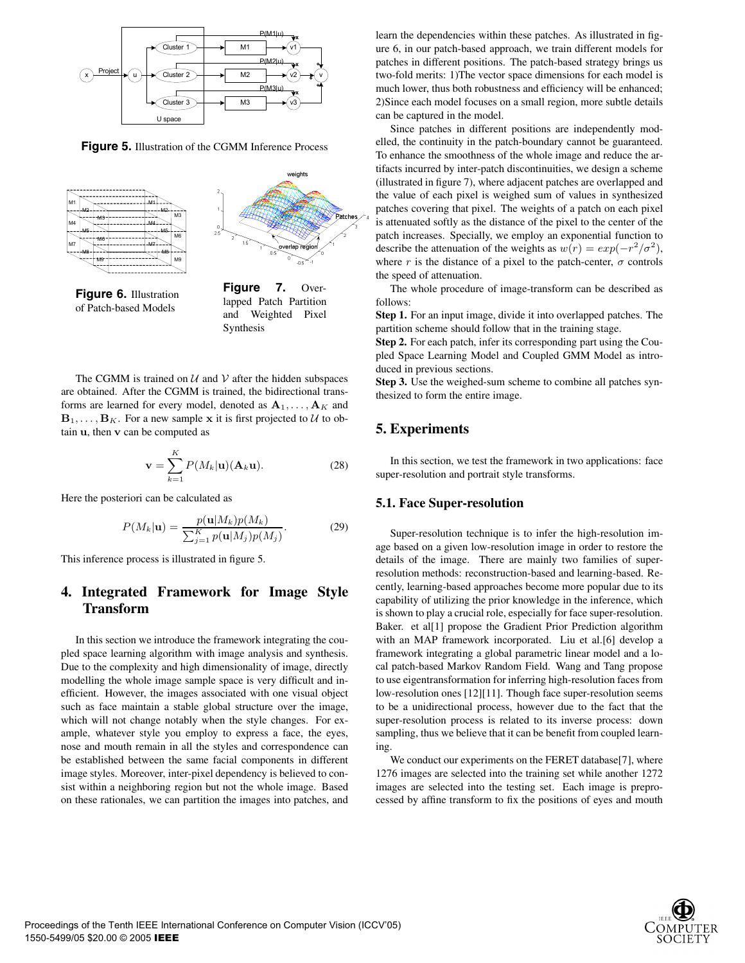

**Figure 5.** Illustration of the CGMM Inference Process





**Figure 6.** Illustration of Patch-based Models

**Figure 7.** Overlapped Patch Partition and Weighted Pixel Synthesis

The CGMM is trained on  $U$  and  $V$  after the hidden subspaces are obtained. After the CGMM is trained, the bidirectional transforms are learned for every model, denoted as  $A_1, \ldots, A_K$  and  $\mathbf{B}_1, \ldots, \mathbf{B}_K$ . For a new sample **x** it is first projected to U to obtain **u**, then **v** can be computed as

$$
\mathbf{v} = \sum_{k=1}^{K} P(M_k | \mathbf{u}) (\mathbf{A}_k \mathbf{u}).
$$
 (28)

Here the posteriori can be calculated as

$$
P(M_k|\mathbf{u}) = \frac{p(\mathbf{u}|M_k)p(M_k)}{\sum_{j=1}^K p(\mathbf{u}|M_j)p(M_j)}.
$$
 (29)

This inference process is illustrated in figure 5.

# **4. Integrated Framework for Image Style Transform**

In this section we introduce the framework integrating the coupled space learning algorithm with image analysis and synthesis. Due to the complexity and high dimensionality of image, directly modelling the whole image sample space is very difficult and inefficient. However, the images associated with one visual object such as face maintain a stable global structure over the image, which will not change notably when the style changes. For example, whatever style you employ to express a face, the eyes, nose and mouth remain in all the styles and correspondence can be established between the same facial components in different image styles. Moreover, inter-pixel dependency is believed to consist within a neighboring region but not the whole image. Based on these rationales, we can partition the images into patches, and learn the dependencies within these patches. As illustrated in figure 6, in our patch-based approach, we train different models for patches in different positions. The patch-based strategy brings us two-fold merits: 1)The vector space dimensions for each model is much lower, thus both robustness and efficiency will be enhanced; 2)Since each model focuses on a small region, more subtle details can be captured in the model.

Since patches in different positions are independently modelled, the continuity in the patch-boundary cannot be guaranteed. To enhance the smoothness of the whole image and reduce the artifacts incurred by inter-patch discontinuities, we design a scheme (illustrated in figure 7), where adjacent patches are overlapped and the value of each pixel is weighed sum of values in synthesized patches covering that pixel. The weights of a patch on each pixel is attenuated softly as the distance of the pixel to the center of the patch increases. Specially, we employ an exponential function to describe the attenuation of the weights as  $w(r) = exp(-r^2/\sigma^2)$ , where r is the distance of a pixel to the patch-center,  $\sigma$  controls the speed of attenuation.

The whole procedure of image-transform can be described as follows:

**Step 1.** For an input image, divide it into overlapped patches. The partition scheme should follow that in the training stage.

**Step 2.** For each patch, infer its corresponding part using the Coupled Space Learning Model and Coupled GMM Model as introduced in previous sections.

**Step 3.** Use the weighed-sum scheme to combine all patches synthesized to form the entire image.

# **5. Experiments**

In this section, we test the framework in two applications: face super-resolution and portrait style transforms.

#### **5.1. Face Super-resolution**

Super-resolution technique is to infer the high-resolution image based on a given low-resolution image in order to restore the details of the image. There are mainly two families of superresolution methods: reconstruction-based and learning-based. Recently, learning-based approaches become more popular due to its capability of utilizing the prior knowledge in the inference, which is shown to play a crucial role, especially for face super-resolution. Baker. et al[1] propose the Gradient Prior Prediction algorithm with an MAP framework incorporated. Liu et al.[6] develop a framework integrating a global parametric linear model and a local patch-based Markov Random Field. Wang and Tang propose to use eigentransformation for inferring high-resolution faces from low-resolution ones [12][11]. Though face super-resolution seems to be a unidirectional process, however due to the fact that the super-resolution process is related to its inverse process: down sampling, thus we believe that it can be benefit from coupled learning.

We conduct our experiments on the FERET database[7], where 1276 images are selected into the training set while another 1272 images are selected into the testing set. Each image is preprocessed by affine transform to fix the positions of eyes and mouth

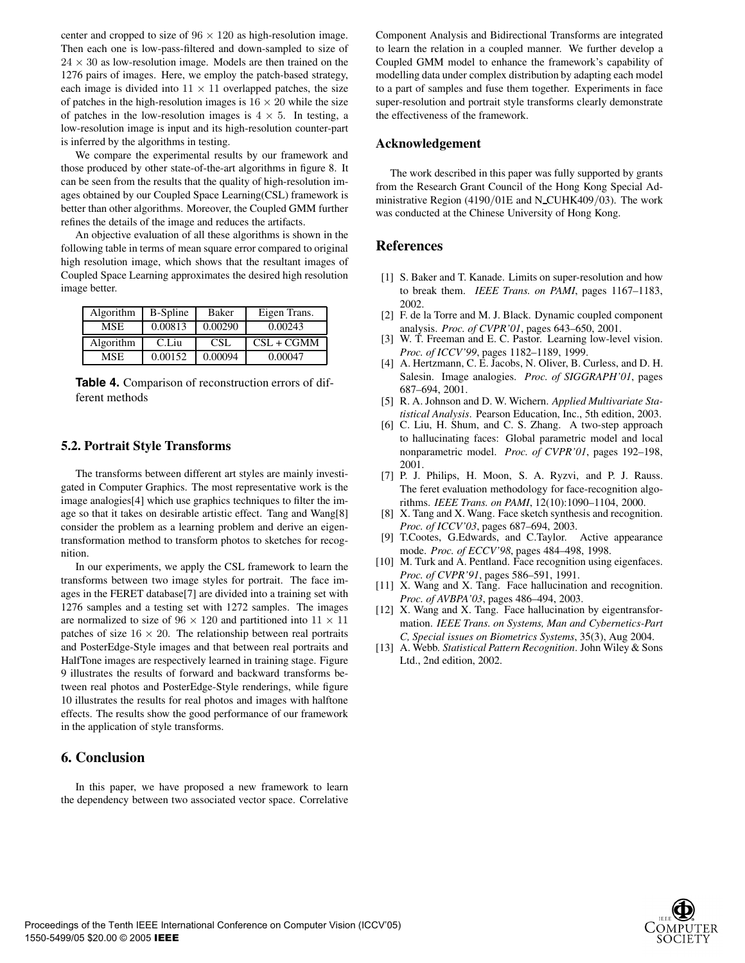center and cropped to size of  $96 \times 120$  as high-resolution image. Then each one is low-pass-filtered and down-sampled to size of  $24 \times 30$  as low-resolution image. Models are then trained on the 1276 pairs of images. Here, we employ the patch-based strategy, each image is divided into  $11 \times 11$  overlapped patches, the size of patches in the high-resolution images is  $16 \times 20$  while the size of patches in the low-resolution images is  $4 \times 5$ . In testing, a low-resolution image is input and its high-resolution counter-part is inferred by the algorithms in testing.

We compare the experimental results by our framework and those produced by other state-of-the-art algorithms in figure 8. It can be seen from the results that the quality of high-resolution images obtained by our Coupled Space Learning(CSL) framework is better than other algorithms. Moreover, the Coupled GMM further refines the details of the image and reduces the artifacts.

An objective evaluation of all these algorithms is shown in the following table in terms of mean square error compared to original high resolution image, which shows that the resultant images of Coupled Space Learning approximates the desired high resolution image better.

| Algorithm  | B-Spline | <b>Baker</b> | Eigen Trans. |
|------------|----------|--------------|--------------|
| <b>MSE</b> | 0.00813  | 0.00290      | 0.00243      |
| Algorithm  | C.Liu    | CSL          | $CSL + CGMM$ |
| <b>MSE</b> | 0.00152  | 0.00094      | 0.00047      |

**Table 4.** Comparison of reconstruction errors of different methods

#### **5.2. Portrait Style Transforms**

The transforms between different art styles are mainly investigated in Computer Graphics. The most representative work is the image analogies[4] which use graphics techniques to filter the image so that it takes on desirable artistic effect. Tang and Wang[8] consider the problem as a learning problem and derive an eigentransformation method to transform photos to sketches for recognition.

In our experiments, we apply the CSL framework to learn the transforms between two image styles for portrait. The face images in the FERET database[7] are divided into a training set with 1276 samples and a testing set with 1272 samples. The images are normalized to size of  $96 \times 120$  and partitioned into  $11 \times 11$ patches of size  $16 \times 20$ . The relationship between real portraits and PosterEdge-Style images and that between real portraits and HalfTone images are respectively learned in training stage. Figure 9 illustrates the results of forward and backward transforms between real photos and PosterEdge-Style renderings, while figure 10 illustrates the results for real photos and images with halftone effects. The results show the good performance of our framework in the application of style transforms.

# **6. Conclusion**

In this paper, we have proposed a new framework to learn the dependency between two associated vector space. Correlative Component Analysis and Bidirectional Transforms are integrated to learn the relation in a coupled manner. We further develop a Coupled GMM model to enhance the framework's capability of modelling data under complex distribution by adapting each model to a part of samples and fuse them together. Experiments in face super-resolution and portrait style transforms clearly demonstrate the effectiveness of the framework.

#### **Acknowledgement**

The work described in this paper was fully supported by grants from the Research Grant Council of the Hong Kong Special Administrative Region (4190/01E and N CUHK409/03). The work was conducted at the Chinese University of Hong Kong.

### **References**

- [1] S. Baker and T. Kanade. Limits on super-resolution and how to break them. *IEEE Trans. on PAMI*, pages 1167–1183, 2002.
- [2] F. de la Torre and M. J. Black. Dynamic coupled component analysis. *Proc. of CVPR'01*, pages 643–650, 2001.
- [3] W. T. Freeman and E. C. Pastor. Learning low-level vision. *Proc. of ICCV'99*, pages 1182–1189, 1999.
- [4] A. Hertzmann, C. E. Jacobs, N. Oliver, B. Curless, and D. H. Salesin. Image analogies. *Proc. of SIGGRAPH'01*, pages 687–694, 2001.
- [5] R. A. Johnson and D. W. Wichern. *Applied Multivariate Statistical Analysis*. Pearson Education, Inc., 5th edition, 2003.
- [6] C. Liu, H. Shum, and C. S. Zhang. A two-step approach to hallucinating faces: Global parametric model and local nonparametric model. *Proc. of CVPR'01*, pages 192–198, 2001.
- [7] P. J. Philips, H. Moon, S. A. Ryzvi, and P. J. Rauss. The feret evaluation methodology for face-recognition algorithms. *IEEE Trans. on PAMI*, 12(10):1090–1104, 2000.
- [8] X. Tang and X. Wang. Face sketch synthesis and recognition. *Proc. of ICCV'03*, pages 687–694, 2003.
- [9] T.Cootes, G.Edwards, and C.Taylor. Active appearance mode. *Proc. of ECCV'98*, pages 484–498, 1998.
- [10] M. Turk and A. Pentland. Face recognition using eigenfaces. *Proc. of CVPR'91*, pages 586–591, 1991.
- [11] X. Wang and X. Tang. Face hallucination and recognition. *Proc. of AVBPA'03*, pages 486–494, 2003.
- [12] X. Wang and X. Tang. Face hallucination by eigentransformation. *IEEE Trans. on Systems, Man and Cybernetics-Part C, Special issues on Biometrics Systems*, 35(3), Aug 2004.
- [13] A. Webb. *Statistical Pattern Recognition*. John Wiley & Sons Ltd., 2nd edition, 2002.